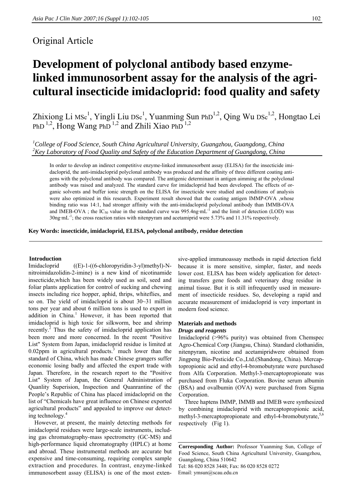# Original Article

# **Development of polyclonal antibody based enzymelinked immunosorbent assay for the analysis of the agricultural insecticide imidacloprid: food quality and safety**

Zhixiong Li Msc<sup>1</sup>, Yingli Liu Dsc<sup>1</sup>, Yuanming Sun PhD<sup>1,2</sup>, Qing Wu Dsc<sup>1,2</sup>, Hongtao Lei PhD<sup>1,2</sup>, Hong Wang PhD<sup>1,2</sup> and Zhili Xiao PhD<sup>1,2</sup>

<sup>1</sup>College of Food Science, South China Agricultural University, Guangzhou, Guangdong, China *2 Key Laboratory of Food Quality and Safety of the Education Department of Guangdong, China* 

In order to develop an indirect competitive enzyme-linked immunosorbent assay (ELISA) for the insecticide imidacloprid, the anti-imidacloprid polyclonal antibody was produced and the affinity of three different coating antigens with the polyclonal antibody was compared. The antigenic determinant in antigen aimming at the polyclonal antibody was raised and analyzed. The standard curve for imidacloprid had been developed. The effects of organic solvents and buffer ionic strength on the ELISA for insecticide were studied and conditions of analysis were also optimized in this research. Experiment result showed that the coating antigen IMMP-OVA ,whose binding ratio was 14:1, had stronger affinity with the anti-imidacloprid polyclonal antibody than IMMB-OVA and IMEB-OVA ; the IC<sub>50</sub> value in the standard curve was 995.4ng·mL<sup>-1</sup> and the limit of detection (LOD) was  $30\text{ng} \cdot \text{mL}^{-1}$ ; the cross reaction ratios with nitenpyram and acetamiprid were 5.73% and 11.31% respectively.

**Key Words: insecticide, imidacloprid, ELISA, polyclonal antibody, residue detection** 

#### **Introduction**

Imidacloprid ((E)-1-((6-chloropyridin-3-yl)methyl)-Nnitroimidazolidin-2-imine) is a new kind of nicotinamide insecticide,which has been widely used as soil, seed and foliar plants application for control of sucking and chewing insects including rice hopper, aphid, thrips, whiteflies, and so on. The yield of imidacloprid is about 30~31 million tons per year and about 6 million tons is used to export in addition in China.<sup>1</sup> However, it has been reported that imidacloprid is high toxic for silkworm, bee and shrimp recently.<sup>2</sup> Thus the safety of imidacloprid application has been more and more concerned. In the recent "Positive List" System from Japan, imidacloprid residue is limited at 0.02ppm in agricultural products.<sup>3</sup> much lower than the standard of China, which has made Chinese grangers suffer economic losing badly and affected the export trade with Japan. Therefore, in the research report to the "Positive List" System of Japan, the General Administration of Quanlity Superision, Inspection and Quanrantine of the People's Republic of China has placed imidacloprid on the list of "Chemicals have great influence on Chinese exported agricultural products" and appealed to improve our detecting technology.<sup>4</sup>

However, at present, the mainly detecting methods for imidacloprid residues were large-scale instruments, including gas chromatography-mass spectrometry (GC-MS) and high-performance liquid chromatography (HPLC) at home and abroad. These instrumental methods are accurate but expensive and time-consuming, requiring complex sample extraction and procedures. In contrast, enzyme-linked immunosorbent assay (ELISA) is one of the most extensive-applied immunoassay methods in rapid detection field because it is more sensitive, simpler, faster, and needs lower cost. ELISA has been widely application for detecting transfers gene foods and veterinary drug residue in animal tissue. But it is still infrequently used in measurement of insecticide residues. So, developing a rapid and accurate measurement of imidacloprid is very important in modern food science.

# **Materials and methods**  *Drugs and reagents*

Imidacloprid (>96% purity) was obtained from Chemspec Agro-Chemical Corp (Jiangsu, China). Standard clothanidin, nitenpyram, nicotine and acetamipridwere obtained from Jingpeng Bio-Pesticide Co.,Ltd.(Shandong, China). Mercaptopropionic acid and ethyl-4-bromobutyrate were purchased from Alfa Corporation. Methyl-3-mercaptopropionate was purchased from Fluka Corporation. Bovine serum albumin (BSA) and ovalbumin (OVA) were purchased from Sigma Corporation.

Three haptens IMMP, IMMB and IMEB were synthesized by combining imidacloprid with mercaptopropionic acid, methyl-3-mercaptopropionate and ethyl-4-bromobutyrate.<sup>5,6</sup> respectively (Fig 1).

**Corresponding Author:** Professor Yuanming Sun, College of Food Science, South China Agricultural University, Guangzhou, Guangdong, China 510642 Tel: 86 020 8528 3448; Fax: 86 020 8528 0272 Email: ymsun@scau.edu.cn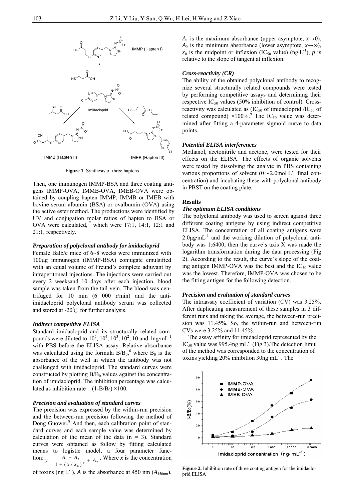

**Figure 1.** Synthesis of three haptens

Then, one immunogen IMMP-BSA and three coating antigens IMMP-OVA, IMMB-OVA, IMEB-OVA were obtained by coupling hapten IMMP, IMMB or IMEB with bovine serum albumin (BSA) or ovalbumin (OVA) using the active ester method. The productions were identified by UV and conjugation molar ratios of hapten to BSA or OVA were calculated,  $\frac{7}{1}$  which were 17:1, 14:1, 12:1 and 21:1, respectively.

## *Preparation of polyclonal antibody for imidacloprid*

Female Balb/c mice of 6~8 weeks were immunized with 100μg immunogen (IMMP-BSA) conjugate emulsified with an equal volume of Freund's complete adjuvant by intraperitoneal injections. The injections were carried out every 2 weeksand 10 days after each injection, blood sample was taken from the tail vein. The blood was centrifuged for 10 min (6 000 r/min) and the antiimidacloprid polyclonal antibody serum was collected and stored at -20℃ for further analysis.

# *Indirect competitive ELISA*

Standard imidacloprid and its structurally related compounds were diluted to  $10^5$ ,  $10^4$ ,  $10^3$ ,  $10^2$ ,  $10$  and  $1$ ng·mL<sup>-1</sup> with PBS before the ELISA assay. Relative absorbance was calculated using the formula  $B/B_0$ , where  $B_0$  is the absorbance of the well in which the antibody was not challenged with imidacloprid. The standard curves were constructed by plotting  $B/B<sub>0</sub>$  values against the concentration of imidacloprid. The inhibition percentage was calculated as inhibition rate =  $(1-B/B<sub>0</sub>) \times 100$ .

# *Precision and evaluation of standard curves*

The precision was expressed by the within-run precision and the between-run precision following the method of Dong Guowei.<sup>8</sup> And then, each calibration point of standard curves and each sample value was determined by calculation of the mean of the data  $(n = 3)$ . Standard curves were obtained as follow by fitting calculated means to logistic model, a four parameter function:  $y = \frac{A_1 - A_2}{1 + (x / x_0)^p} + A_2$  $y = \frac{A_1 - A_2}{1 + (x / x_0)^p} + A_2$ . Where *x* is the concentration

of toxins (ng·L<sup>-1</sup>), *A* is the absorbance at 450 nm ( $A_{450nm}$ ),

*A*<sub>1</sub> is the maximum absorbance (upper asymptote,  $x \rightarrow 0$ ), *A*<sub>2</sub> is the minimum absorbance (lower asymptote,  $x \rightarrow \infty$ ),  $x_0$  is the midpoint or inflexion (IC<sub>50</sub> value) (ng·L<sup>-1</sup>), *p* is relative to the slope of tangent at inflexion.

# *Cross-reactivity (CR)*

The ability of the obtained polyclonal antibody to recognize several structurally related compounds were tested by performing competitive assays and determining their respective  $IC_{50}$  values (50% inhibition of control). Crossreactivity was calculated as  $(IC_{50}$  of imidacloprid  $/IC_{50}$  of related compound)  $\times 100\%$ .<sup>9</sup> The IC<sub>50</sub> value was determined after fitting a 4-parameter sigmoid curve to data points.

#### *Potential ELISA interferences*

Methanol, acetonitrile and acetone, were tested for their effects on the ELISA. The effects of organic solvents were tested by dissolving the analyte in PBS containing various proportions of solvent  $(0\sim 2.0$ mol·L<sup>-1</sup> final concentration) and incubating these with polyclonal antibody in PBST on the coating plate.

## **Results**

#### *The optimum ELISA conditions*

The polyclonal antibody was used to screen against three different coating antigens by using indirect competitive ELISA. The concentration of all coating antigens were  $2.0\mu$ g·mL<sup>-1</sup> and the working dilution of polyclonal antibody was 1:6400, then the curve's axis X was made the logarithm transformation during the data processing (Fig 2). According to the result, the curve's slope of the coating antigen IMMP-OVA was the best and the  $IC_{50}$  value was the lowest. Therefore, IMMP-OVA was chosen to be the fitting antigen for the following detection.

#### *Precision and evaluation of standard curves*

The intraassay coefficient of variation (CV) was 3.25%. After duplicating measurement of these samples in 3 different runs and taking the average, the between-run precision was 11.45%. So, the within-run and between-run CVs were 3.25% and 11.45%.

The assay affinity for imidacloprid represented by the IC<sub>50</sub> value was 995.4ng·mL<sup>-1</sup> (Fig 3). The detection limit of the method was corresponded to the concentration of toxins yielding  $20\%$  inhibition  $30$ ng·mL<sup>-1</sup>. The



**Figure 2.** Inhibition rate of three coating antigen for the imidacloprid ELISA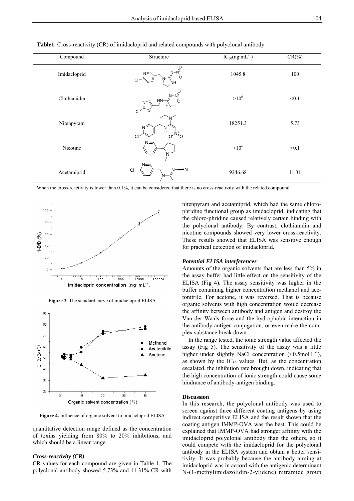| Compound     | Structure                                    | $IC_{50}(ng·mL^{-1})$ | $CR(\%)$ |
|--------------|----------------------------------------------|-----------------------|----------|
| Imidacloprid | $\frac{1}{N-N^{+}}$<br>N=<br>C.<br>CI<br>NH. | 1045.8                | 100      |
| Clothianidin | $N-N_1^+$<br>ó<br>HN-<br>N<br>$HN-$<br>CI    | $>10^6$               | < 0.1    |
| Nitenpyram   | Ν<br>й<br>CI                                 | 18251.3               | 5.73     |
| Nicotine     | $N=$<br>N                                    | $>10^6$               | < 0.1    |
| Acetamiprid  | $N =$<br>$N \rightarrow N$<br><b>CI</b><br>N | 9246.68               | 11.31    |

**Table1.** Cross-reactivity (CR) of imidacloprid and related compounds with polyclonal antibody

When the cross-reactivity is lower than 0.1%, it can be considered that there is no cross-reactivity with the related compound.



**Figure 3.** The standard curve of imidacloprid ELISA



**Figure 4.** Influence of organic solvent to imidacloprid ELISA

quantitative detection range defined as the concentration of toxins yielding from 80% to 20% inhibitions, and which should be a linear range.

#### *Cross-reactivity (CR)*

CR values for each compound are given in Table 1. The polyclonal antibody showed 5.73% and 11.31% CR with nitenpyram and acetamiprid, which had the same chlorophridine functional group as imidacloprid, indicating that the chloro-phridine caused relatively certain binding with the polyclonal antibody. By contrast, clothianidin and nicotine compounds showed very lower cross-reactivity. These results showed that ELISA was sensitive enough for practical detection of imidacloprid.

#### *Potential ELISA interferences*

Amounts of the organic solvents that are less than 5% in the assay buffer had little effect on the sensitivity of the ELISA (Fig 4). The assay sensitivity was higher in the buffer containing higher concentration methanol and acetonitrile. For acetone, it was reversed. That is because organic solvents with high concentration would decrease the affinity between antibody and antigen and destroy the Van der Waals force and the hydrophobic interaction in the antibody-antigen conjugation, or even make the complex substance break down.

In the range tested, the ionic strength value affected the assay (Fig 5). The sensitivity of the assay was a little higher under slightly NaCl concentration  $(<0.5 \text{mol} \cdot L^{-1})$ , as shown by the  $IC_{50}$  values. But, as the concentration escalated, the inhibition rate brought down, indicating that the high concentration of ionic strength could cause some hindrance of antibody-antigen binding.

#### **Discussion**

In this research, the polyclonal antibody was used to screen against three different coating antigens by using indirect competitive ELISA and the result shown that the coating antigen IMMP-OVA was the best. This could be explained that IMMP-OVA had stronger affinity with the imidacloprid polyclonal antibody than the others, so it could compete with the imidacloprid for the polyclonal antibody in the ELISA system and obtain a better sensitivity. It was probably because the antibody aiming at imidacloprid was in accord with the antigenic determinant N-(1-methylimidazolidin-2-ylidene) nitramide group